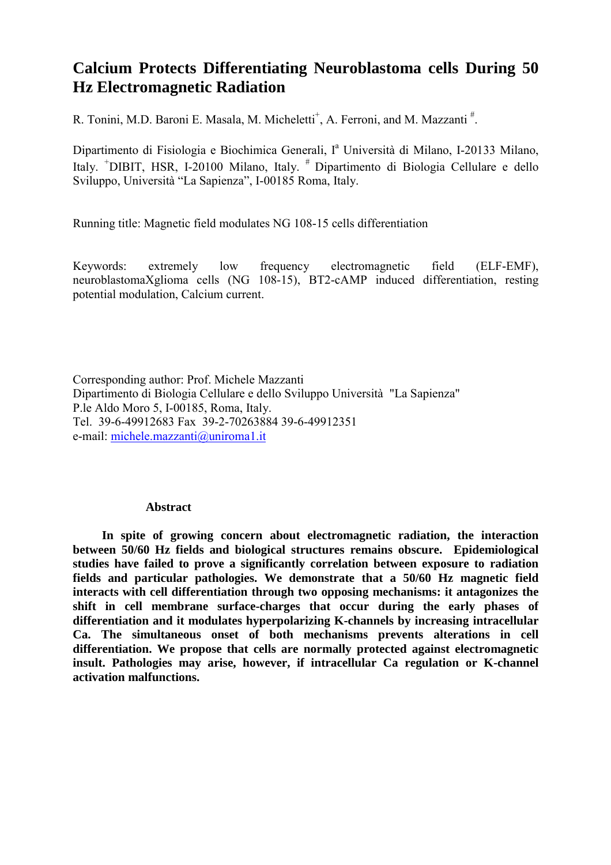### **Calcium Protects Differentiating Neuroblastoma cells During 50 Hz Electromagnetic Radiation**

R. Tonini, M.D. Baroni E. Masala, M. Micheletti<sup>+</sup>, A. Ferroni, and M. Mazzanti<sup>#</sup>.

Dipartimento di Fisiologia e Biochimica Generali, I<sup>a</sup> Università di Milano, I-20133 Milano, Italy. <sup>+</sup>DIBIT, HSR, I-20100 Milano, Italy. <sup>#</sup> Dipartimento di Biologia Cellulare e dello Sviluppo, Università "La Sapienza", I-00185 Roma, Italy.

Running title: Magnetic field modulates NG 108-15 cells differentiation

Keywords: extremely low frequency electromagnetic field (ELF-EMF), neuroblastomaXglioma cells (NG 108-15), BT2-cAMP induced differentiation, resting potential modulation, Calcium current.

Corresponding author: Prof. Michele Mazzanti Dipartimento di Biologia Cellulare e dello Sviluppo Università "La Sapienza" P.le Aldo Moro 5, I-00185, Roma, Italy. Tel. 39-6-49912683 Fax 39-2-70263884 39-6-49912351 e-mail: michele.mazzanti@uniroma1.it

#### **Abstract**

**In spite of growing concern about electromagnetic radiation, the interaction between 50/60 Hz fields and biological structures remains obscure. Epidemiological studies have failed to prove a significantly correlation between exposure to radiation fields and particular pathologies. We demonstrate that a 50/60 Hz magnetic field interacts with cell differentiation through two opposing mechanisms: it antagonizes the shift in cell membrane surface-charges that occur during the early phases of differentiation and it modulates hyperpolarizing K-channels by increasing intracellular Ca. The simultaneous onset of both mechanisms prevents alterations in cell differentiation. We propose that cells are normally protected against electromagnetic insult. Pathologies may arise, however, if intracellular Ca regulation or K-channel activation malfunctions.**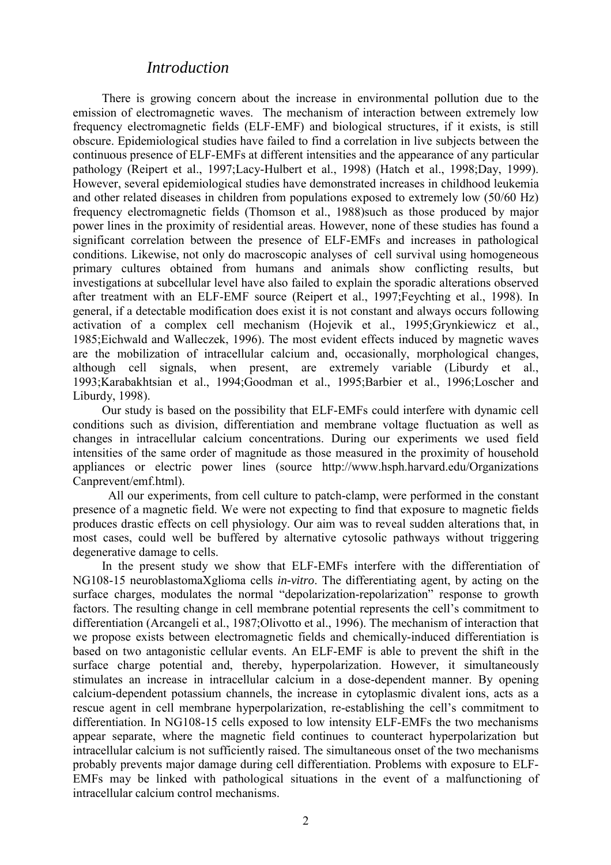### *Introduction*

There is growing concern about the increase in environmental pollution due to the emission of electromagnetic waves. The mechanism of interaction between extremely low frequency electromagnetic fields (ELF-EMF) and biological structures, if it exists, is still obscure. Epidemiological studies have failed to find a correlation in live subjects between the continuous presence of ELF-EMFs at different intensities and the appearance of any particular pathology (Reipert et al., 1997;Lacy-Hulbert et al., 1998) (Hatch et al., 1998;Day, 1999). However, several epidemiological studies have demonstrated increases in childhood leukemia and other related diseases in children from populations exposed to extremely low (50/60 Hz) frequency electromagnetic fields (Thomson et al., 1988)such as those produced by major power lines in the proximity of residential areas. However, none of these studies has found a significant correlation between the presence of ELF-EMFs and increases in pathological conditions. Likewise, not only do macroscopic analyses of cell survival using homogeneous primary cultures obtained from humans and animals show conflicting results, but investigations at subcellular level have also failed to explain the sporadic alterations observed after treatment with an ELF-EMF source (Reipert et al., 1997;Feychting et al., 1998). In general, if a detectable modification does exist it is not constant and always occurs following activation of a complex cell mechanism (Hojevik et al., 1995;Grynkiewicz et al., 1985;Eichwald and Walleczek, 1996). The most evident effects induced by magnetic waves are the mobilization of intracellular calcium and, occasionally, morphological changes, although cell signals, when present, are extremely variable (Liburdy et al., 1993;Karabakhtsian et al., 1994;Goodman et al., 1995;Barbier et al., 1996;Loscher and Liburdy, 1998).

Our study is based on the possibility that ELF-EMFs could interfere with dynamic cell conditions such as division, differentiation and membrane voltage fluctuation as well as changes in intracellular calcium concentrations. During our experiments we used field intensities of the same order of magnitude as those measured in the proximity of household appliances or electric power lines (source http://www.hsph.harvard.edu/Organizations Canprevent/emf.html).

 All our experiments, from cell culture to patch-clamp, were performed in the constant presence of a magnetic field. We were not expecting to find that exposure to magnetic fields produces drastic effects on cell physiology. Our aim was to reveal sudden alterations that, in most cases, could well be buffered by alternative cytosolic pathways without triggering degenerative damage to cells.

In the present study we show that ELF-EMFs interfere with the differentiation of NG108-15 neuroblastomaXglioma cells *in-vitro*. The differentiating agent, by acting on the surface charges, modulates the normal "depolarization-repolarization" response to growth factors. The resulting change in cell membrane potential represents the cell's commitment to differentiation (Arcangeli et al., 1987;Olivotto et al., 1996). The mechanism of interaction that we propose exists between electromagnetic fields and chemically-induced differentiation is based on two antagonistic cellular events. An ELF-EMF is able to prevent the shift in the surface charge potential and, thereby, hyperpolarization. However, it simultaneously stimulates an increase in intracellular calcium in a dose-dependent manner. By opening calcium-dependent potassium channels, the increase in cytoplasmic divalent ions, acts as a rescue agent in cell membrane hyperpolarization, re-establishing the cell's commitment to differentiation. In NG108-15 cells exposed to low intensity ELF-EMFs the two mechanisms appear separate, where the magnetic field continues to counteract hyperpolarization but intracellular calcium is not sufficiently raised. The simultaneous onset of the two mechanisms probably prevents major damage during cell differentiation. Problems with exposure to ELF-EMFs may be linked with pathological situations in the event of a malfunctioning of intracellular calcium control mechanisms.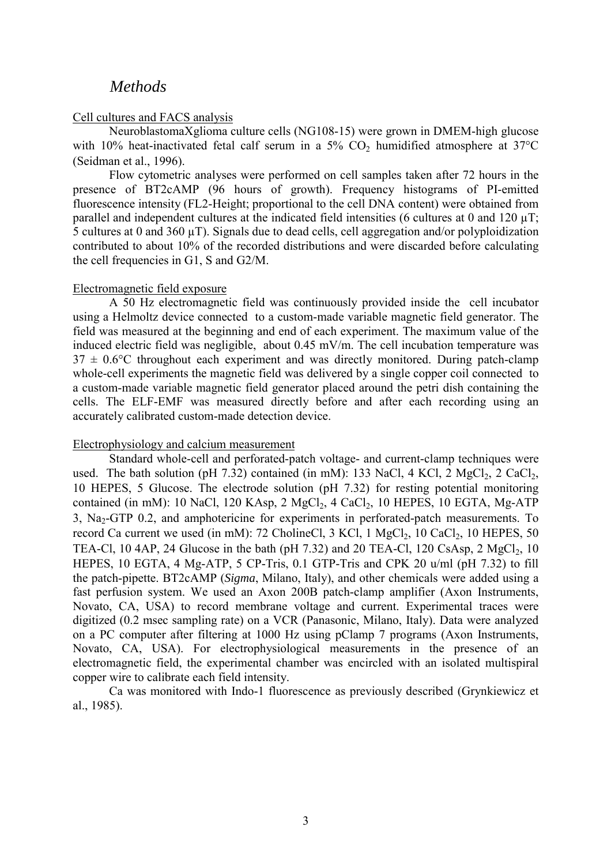### *Methods*

#### Cell cultures and FACS analysis

NeuroblastomaXglioma culture cells (NG108-15) were grown in DMEM-high glucose with 10% heat-inactivated fetal calf serum in a 5%  $CO<sub>2</sub>$  humidified atmosphere at 37°C (Seidman et al., 1996).

Flow cytometric analyses were performed on cell samples taken after 72 hours in the presence of BT2cAMP (96 hours of growth). Frequency histograms of PI-emitted fluorescence intensity (FL2-Height; proportional to the cell DNA content) were obtained from parallel and independent cultures at the indicated field intensities (6 cultures at 0 and 120  $\mu$ T; 5 cultures at 0 and 360 µT). Signals due to dead cells, cell aggregation and/or polyploidization contributed to about 10% of the recorded distributions and were discarded before calculating the cell frequencies in G1, S and G2/M.

#### Electromagnetic field exposure

A 50 Hz electromagnetic field was continuously provided inside the cell incubator using a Helmoltz device connected to a custom-made variable magnetic field generator. The field was measured at the beginning and end of each experiment. The maximum value of the induced electric field was negligible, about 0.45 mV/m. The cell incubation temperature was  $37 \pm 0.6$ °C throughout each experiment and was directly monitored. During patch-clamp whole-cell experiments the magnetic field was delivered by a single copper coil connected to a custom-made variable magnetic field generator placed around the petri dish containing the cells. The ELF-EMF was measured directly before and after each recording using an accurately calibrated custom-made detection device.

#### Electrophysiology and calcium measurement

Standard whole-cell and perforated-patch voltage- and current-clamp techniques were used. The bath solution (pH 7.32) contained (in mM): 133 NaCl, 4 KCl, 2 MgCl<sub>2</sub>, 2 CaCl<sub>2</sub>, 10 HEPES, 5 Glucose. The electrode solution (pH 7.32) for resting potential monitoring contained (in mM): 10 NaCl, 120 KAsp, 2 MgCl<sub>2</sub>, 4 CaCl<sub>2</sub>, 10 HEPES, 10 EGTA, Mg-ATP 3, Na<sub>2</sub>-GTP 0.2, and amphotericine for experiments in perforated-patch measurements. To record Ca current we used (in mM): 72 CholineCl,  $3$  KCl,  $1$  MgCl<sub>2</sub>,  $10$  CaCl<sub>2</sub>,  $10$  HEPES,  $50$ TEA-Cl, 10 4AP, 24 Glucose in the bath (pH 7.32) and 20 TEA-Cl, 120 CsAsp, 2 MgCl<sub>2</sub>, 10 HEPES, 10 EGTA, 4 Mg-ATP, 5 CP-Tris, 0.1 GTP-Tris and CPK 20 u/ml (pH 7.32) to fill the patch-pipette. BT2cAMP (*Sigma*, Milano, Italy), and other chemicals were added using a fast perfusion system. We used an Axon 200B patch-clamp amplifier (Axon Instruments, Novato, CA, USA) to record membrane voltage and current. Experimental traces were digitized (0.2 msec sampling rate) on a VCR (Panasonic, Milano, Italy). Data were analyzed on a PC computer after filtering at 1000 Hz using pClamp 7 programs (Axon Instruments, Novato, CA, USA). For electrophysiological measurements in the presence of an electromagnetic field, the experimental chamber was encircled with an isolated multispiral copper wire to calibrate each field intensity.

Ca was monitored with Indo-1 fluorescence as previously described (Grynkiewicz et al., 1985).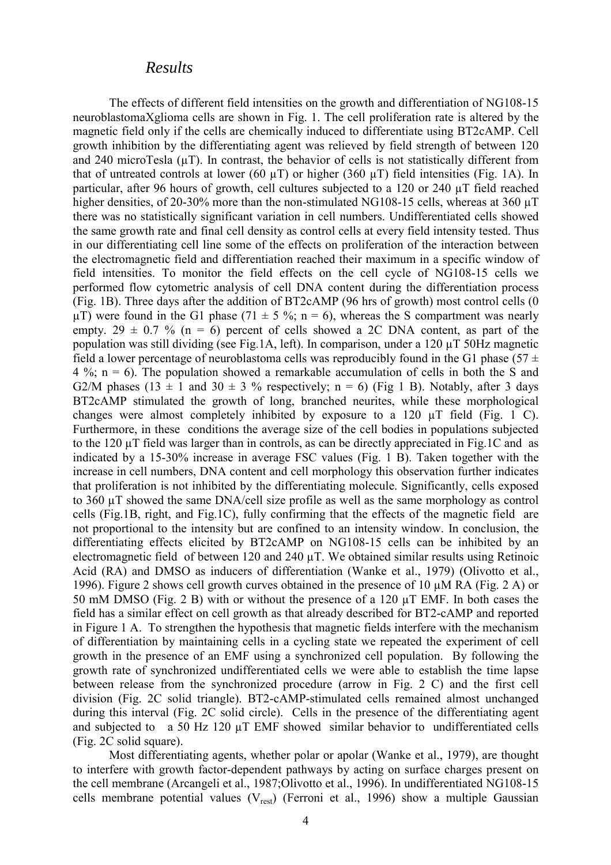### *Results*

The effects of different field intensities on the growth and differentiation of NG108-15 neuroblastomaXglioma cells are shown in Fig. 1. The cell proliferation rate is altered by the magnetic field only if the cells are chemically induced to differentiate using BT2cAMP. Cell growth inhibition by the differentiating agent was relieved by field strength of between 120 and 240 microTesla  $(\mu T)$ . In contrast, the behavior of cells is not statistically different from that of untreated controls at lower (60  $\mu$ T) or higher (360  $\mu$ T) field intensities (Fig. 1A). In particular, after 96 hours of growth, cell cultures subjected to a 120 or 240 µT field reached higher densities, of 20-30% more than the non-stimulated NG108-15 cells, whereas at 360  $\mu$ T there was no statistically significant variation in cell numbers. Undifferentiated cells showed the same growth rate and final cell density as control cells at every field intensity tested. Thus in our differentiating cell line some of the effects on proliferation of the interaction between the electromagnetic field and differentiation reached their maximum in a specific window of field intensities. To monitor the field effects on the cell cycle of NG108-15 cells we performed flow cytometric analysis of cell DNA content during the differentiation process (Fig. 1B). Three days after the addition of BT2cAMP (96 hrs of growth) most control cells (0  $\mu$ T) were found in the G1 phase (71  $\pm$  5 %; n = 6), whereas the S compartment was nearly empty. 29  $\pm$  0.7 % (n = 6) percent of cells showed a 2C DNA content, as part of the population was still dividing (see Fig.1A, left). In comparison, under a 120 µT 50Hz magnetic field a lower percentage of neuroblastoma cells was reproducibly found in the G1 phase (57  $\pm$  $4\%$ ; n = 6). The population showed a remarkable accumulation of cells in both the S and G2/M phases (13  $\pm$  1 and 30  $\pm$  3 % respectively; n = 6) (Fig 1 B). Notably, after 3 days BT2cAMP stimulated the growth of long, branched neurites, while these morphological changes were almost completely inhibited by exposure to a 120 µT field (Fig. 1 C). Furthermore, in these conditions the average size of the cell bodies in populations subjected to the 120 µT field was larger than in controls, as can be directly appreciated in Fig.1C and as indicated by a 15-30% increase in average FSC values (Fig. 1 B). Taken together with the increase in cell numbers, DNA content and cell morphology this observation further indicates that proliferation is not inhibited by the differentiating molecule. Significantly, cells exposed to 360 µT showed the same DNA/cell size profile as well as the same morphology as control cells (Fig.1B, right, and Fig.1C), fully confirming that the effects of the magnetic field are not proportional to the intensity but are confined to an intensity window. In conclusion, the differentiating effects elicited by BT2cAMP on NG108-15 cells can be inhibited by an electromagnetic field of between 120 and 240 µT. We obtained similar results using Retinoic Acid (RA) and DMSO as inducers of differentiation (Wanke et al., 1979) (Olivotto et al., 1996). Figure 2 shows cell growth curves obtained in the presence of 10 µM RA (Fig. 2 A) or 50 mM DMSO (Fig. 2 B) with or without the presence of a 120 µT EMF. In both cases the field has a similar effect on cell growth as that already described for BT2-cAMP and reported in Figure 1 A. To strengthen the hypothesis that magnetic fields interfere with the mechanism of differentiation by maintaining cells in a cycling state we repeated the experiment of cell growth in the presence of an EMF using a synchronized cell population. By following the growth rate of synchronized undifferentiated cells we were able to establish the time lapse between release from the synchronized procedure (arrow in Fig. 2 C) and the first cell division (Fig. 2C solid triangle). BT2-cAMP-stimulated cells remained almost unchanged during this interval (Fig. 2C solid circle). Cells in the presence of the differentiating agent and subjected to a 50 Hz 120 µT EMF showed similar behavior to undifferentiated cells (Fig. 2C solid square).

Most differentiating agents, whether polar or apolar (Wanke et al., 1979), are thought to interfere with growth factor-dependent pathways by acting on surface charges present on the cell membrane (Arcangeli et al., 1987;Olivotto et al., 1996). In undifferentiated NG108-15 cells membrane potential values  $(V_{rest})$  (Ferroni et al., 1996) show a multiple Gaussian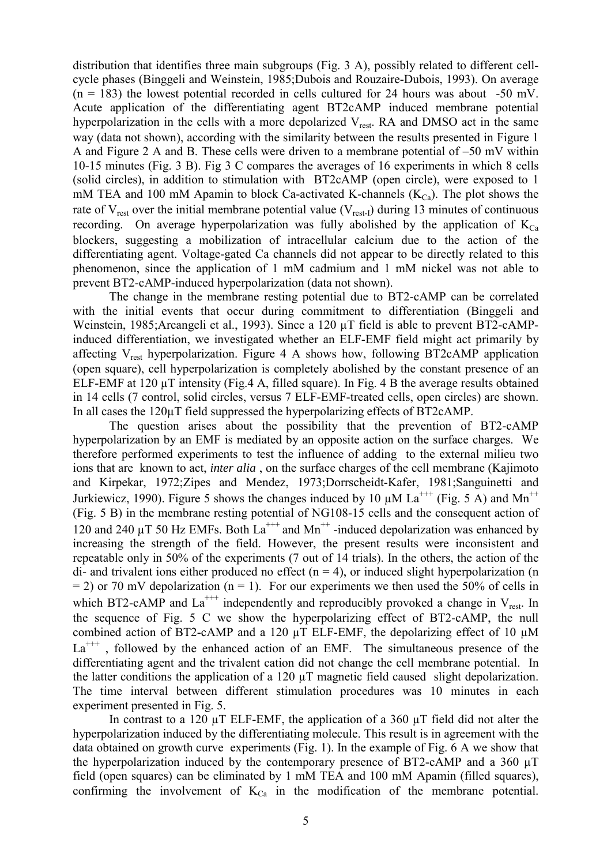distribution that identifies three main subgroups (Fig. 3 A), possibly related to different cellcycle phases (Binggeli and Weinstein, 1985;Dubois and Rouzaire-Dubois, 1993). On average  $(n = 183)$  the lowest potential recorded in cells cultured for 24 hours was about -50 mV. Acute application of the differentiating agent BT2cAMP induced membrane potential hyperpolarization in the cells with a more depolarized  $V_{rest}$ . RA and DMSO act in the same way (data not shown), according with the similarity between the results presented in Figure 1 A and Figure 2 A and B. These cells were driven to a membrane potential of –50 mV within 10-15 minutes (Fig. 3 B). Fig 3 C compares the averages of 16 experiments in which 8 cells (solid circles), in addition to stimulation with BT2cAMP (open circle), were exposed to 1 mM TEA and 100 mM Apamin to block Ca-activated K-channels  $(K_{Ca})$ . The plot shows the rate of  $V_{rest}$  over the initial membrane potential value ( $V_{rest-1}$ ) during 13 minutes of continuous recording. On average hyperpolarization was fully abolished by the application of  $K_{Ca}$ blockers, suggesting a mobilization of intracellular calcium due to the action of the differentiating agent. Voltage-gated Ca channels did not appear to be directly related to this phenomenon, since the application of 1 mM cadmium and 1 mM nickel was not able to prevent BT2-cAMP-induced hyperpolarization (data not shown).

The change in the membrane resting potential due to BT2-cAMP can be correlated with the initial events that occur during commitment to differentiation (Binggeli and Weinstein, 1985;Arcangeli et al., 1993). Since a 120 µT field is able to prevent BT2-cAMPinduced differentiation, we investigated whether an ELF-EMF field might act primarily by affecting  $V_{rest}$  hyperpolarization. Figure 4 A shows how, following BT2cAMP application (open square), cell hyperpolarization is completely abolished by the constant presence of an ELF-EMF at 120 µT intensity (Fig.4 A, filled square). In Fig. 4 B the average results obtained in 14 cells (7 control, solid circles, versus 7 ELF-EMF-treated cells, open circles) are shown. In all cases the 120µT field suppressed the hyperpolarizing effects of BT2cAMP.

The question arises about the possibility that the prevention of BT2-cAMP hyperpolarization by an EMF is mediated by an opposite action on the surface charges. We therefore performed experiments to test the influence of adding to the external milieu two ions that are known to act, *inter alia* , on the surface charges of the cell membrane (Kajimoto and Kirpekar, 1972;Zipes and Mendez, 1973;Dorrscheidt-Kafer, 1981;Sanguinetti and Jurkiewicz, 1990). Figure 5 shows the changes induced by 10  $\mu$ M La<sup>+++</sup> (Fig. 5 A) and Mn<sup>++</sup> (Fig. 5 B) in the membrane resting potential of NG108-15 cells and the consequent action of 120 and 240  $\mu$ T 50 Hz EMFs. Both La<sup>+++</sup> and Mn<sup>++</sup> -induced depolarization was enhanced by increasing the strength of the field. However, the present results were inconsistent and repeatable only in 50% of the experiments (7 out of 14 trials). In the others, the action of the di- and trivalent ions either produced no effect  $(n = 4)$ , or induced slight hyperpolarization (n  $= 2$ ) or 70 mV depolarization (n = 1). For our experiments we then used the 50% of cells in which BT2-cAMP and  $La^{+++}$  independently and reproducibly provoked a change in  $V_{rest}$ . In the sequence of Fig. 5 C we show the hyperpolarizing effect of BT2-cAMP, the null combined action of BT2-cAMP and a 120  $\mu$ T ELF-EMF, the depolarizing effect of 10  $\mu$ M  $La<sup>+++</sup>$ , followed by the enhanced action of an EMF. The simultaneous presence of the differentiating agent and the trivalent cation did not change the cell membrane potential. In the latter conditions the application of a 120  $\mu$ T magnetic field caused slight depolarization. The time interval between different stimulation procedures was 10 minutes in each experiment presented in Fig. 5.

In contrast to a 120 µT ELF-EMF, the application of a 360 µT field did not alter the hyperpolarization induced by the differentiating molecule. This result is in agreement with the data obtained on growth curve experiments (Fig. 1). In the example of Fig. 6 A we show that the hyperpolarization induced by the contemporary presence of BT2-cAMP and a 360 µT field (open squares) can be eliminated by 1 mM TEA and 100 mM Apamin (filled squares), confirming the involvement of  $K_{Ca}$  in the modification of the membrane potential.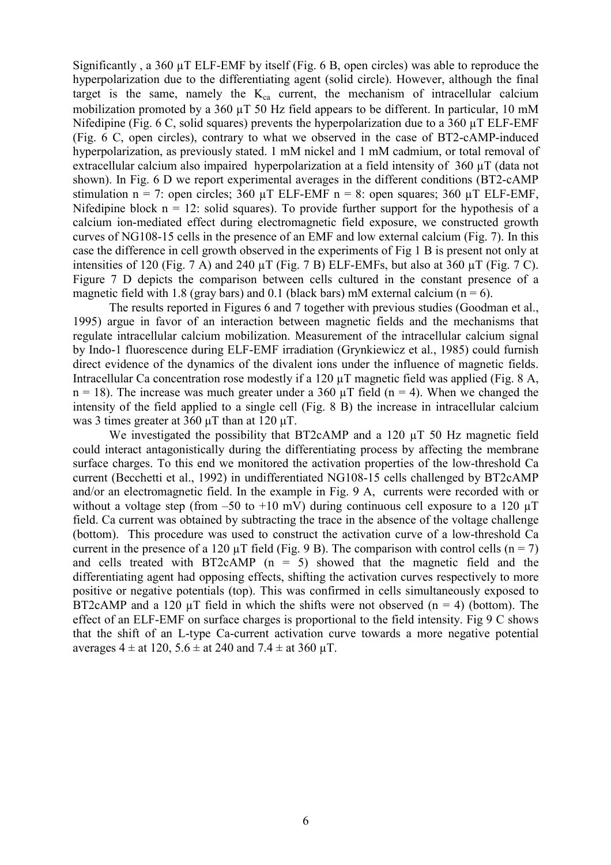Significantly , a 360 µT ELF-EMF by itself (Fig. 6 B, open circles) was able to reproduce the hyperpolarization due to the differentiating agent (solid circle). However, although the final target is the same, namely the  $K_{ca}$  current, the mechanism of intracellular calcium mobilization promoted by a 360  $\mu$ T 50 Hz field appears to be different. In particular, 10 mM Nifedipine (Fig. 6 C, solid squares) prevents the hyperpolarization due to a 360 µT ELF-EMF (Fig. 6 C, open circles), contrary to what we observed in the case of BT2-cAMP-induced hyperpolarization, as previously stated. 1 mM nickel and 1 mM cadmium, or total removal of extracellular calcium also impaired hyperpolarization at a field intensity of 360 µT (data not shown). In Fig. 6 D we report experimental averages in the different conditions (BT2-cAMP stimulation n = 7: open circles; 360  $\mu$ T ELF-EMF n = 8: open squares; 360  $\mu$ T ELF-EMF, Nifedipine block  $n = 12$ : solid squares). To provide further support for the hypothesis of a calcium ion-mediated effect during electromagnetic field exposure, we constructed growth curves of NG108-15 cells in the presence of an EMF and low external calcium (Fig. 7). In this case the difference in cell growth observed in the experiments of Fig 1 B is present not only at intensities of 120 (Fig. 7 A) and 240 µT (Fig. 7 B) ELF-EMFs, but also at 360 µT (Fig. 7 C). Figure 7 D depicts the comparison between cells cultured in the constant presence of a magnetic field with 1.8 (gray bars) and 0.1 (black bars) mM external calcium ( $n = 6$ ).

The results reported in Figures 6 and 7 together with previous studies (Goodman et al., 1995) argue in favor of an interaction between magnetic fields and the mechanisms that regulate intracellular calcium mobilization. Measurement of the intracellular calcium signal by Indo-1 fluorescence during ELF-EMF irradiation (Grynkiewicz et al., 1985) could furnish direct evidence of the dynamics of the divalent ions under the influence of magnetic fields. Intracellular Ca concentration rose modestly if a 120  $\mu$ T magnetic field was applied (Fig. 8 A,  $n = 18$ ). The increase was much greater under a 360  $\mu$ T field (n = 4). When we changed the intensity of the field applied to a single cell (Fig. 8 B) the increase in intracellular calcium was 3 times greater at 360 μT than at 120 μT.

We investigated the possibility that BT2cAMP and a 120  $\mu$ T 50 Hz magnetic field could interact antagonistically during the differentiating process by affecting the membrane surface charges. To this end we monitored the activation properties of the low-threshold Ca current (Becchetti et al., 1992) in undifferentiated NG108-15 cells challenged by BT2cAMP and/or an electromagnetic field. In the example in Fig. 9 A, currents were recorded with or without a voltage step (from  $-50$  to  $+10$  mV) during continuous cell exposure to a 120  $\mu$ T field. Ca current was obtained by subtracting the trace in the absence of the voltage challenge (bottom). This procedure was used to construct the activation curve of a low-threshold Ca current in the presence of a 120  $\mu$ T field (Fig. 9 B). The comparison with control cells (n = 7) and cells treated with BT2cAMP  $(n = 5)$  showed that the magnetic field and the differentiating agent had opposing effects, shifting the activation curves respectively to more positive or negative potentials (top). This was confirmed in cells simultaneously exposed to BT2cAMP and a 120  $\mu$ T field in which the shifts were not observed (n = 4) (bottom). The effect of an ELF-EMF on surface charges is proportional to the field intensity. Fig 9 C shows that the shift of an L-type Ca-current activation curve towards a more negative potential averages  $4 \pm at 120$ ,  $5.6 \pm at 240$  and  $7.4 \pm at 360$  µT.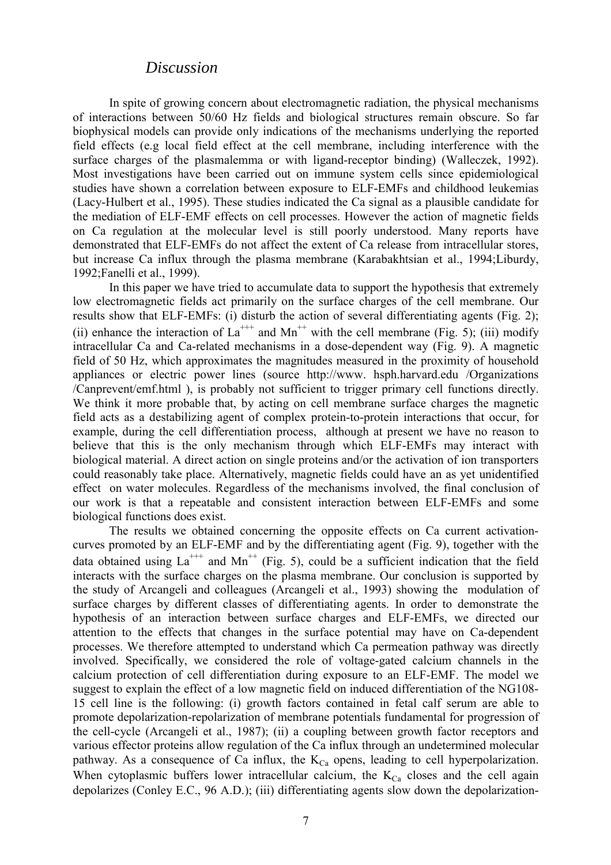### *Discussion*

In spite of growing concern about electromagnetic radiation, the physical mechanisms of interactions between 50/60 Hz fields and biological structures remain obscure. So far biophysical models can provide only indications of the mechanisms underlying the reported field effects (e.g local field effect at the cell membrane, including interference with the surface charges of the plasmalemma or with ligand-receptor binding) (Walleczek, 1992). Most investigations have been carried out on immune system cells since epidemiological studies have shown a correlation between exposure to ELF-EMFs and childhood leukemias (Lacy-Hulbert et al., 1995). These studies indicated the Ca signal as a plausible candidate for the mediation of ELF-EMF effects on cell processes. However the action of magnetic fields on Ca regulation at the molecular level is still poorly understood. Many reports have demonstrated that ELF-EMFs do not affect the extent of Ca release from intracellular stores, but increase Ca influx through the plasma membrane (Karabakhtsian et al., 1994;Liburdy, 1992;Fanelli et al., 1999).

In this paper we have tried to accumulate data to support the hypothesis that extremely low electromagnetic fields act primarily on the surface charges of the cell membrane. Our results show that ELF-EMFs: (i) disturb the action of several differentiating agents (Fig. 2); (ii) enhance the interaction of  $La^{++}$  and  $Mn^{++}$  with the cell membrane (Fig. 5); (iii) modify intracellular Ca and Ca-related mechanisms in a dose-dependent way (Fig. 9). A magnetic field of 50 Hz, which approximates the magnitudes measured in the proximity of household appliances or electric power lines (source http://www. hsph.harvard.edu /Organizations /Canprevent/emf.html ), is probably not sufficient to trigger primary cell functions directly. We think it more probable that, by acting on cell membrane surface charges the magnetic field acts as a destabilizing agent of complex protein-to-protein interactions that occur, for example, during the cell differentiation process, although at present we have no reason to believe that this is the only mechanism through which ELF-EMFs may interact with biological material. A direct action on single proteins and/or the activation of ion transporters could reasonably take place. Alternatively, magnetic fields could have an as yet unidentified effect on water molecules. Regardless of the mechanisms involved, the final conclusion of our work is that a repeatable and consistent interaction between ELF-EMFs and some biological functions does exist.

The results we obtained concerning the opposite effects on Ca current activationcurves promoted by an ELF-EMF and by the differentiating agent (Fig. 9), together with the data obtained using  $La^{++}$  and  $Mn^{++}$  (Fig. 5), could be a sufficient indication that the field interacts with the surface charges on the plasma membrane. Our conclusion is supported by the study of Arcangeli and colleagues (Arcangeli et al., 1993) showing the modulation of surface charges by different classes of differentiating agents. In order to demonstrate the hypothesis of an interaction between surface charges and ELF-EMFs, we directed our attention to the effects that changes in the surface potential may have on Ca-dependent processes. We therefore attempted to understand which Ca permeation pathway was directly involved. Specifically, we considered the role of voltage-gated calcium channels in the calcium protection of cell differentiation during exposure to an ELF-EMF. The model we suggest to explain the effect of a low magnetic field on induced differentiation of the NG108- 15 cell line is the following: (i) growth factors contained in fetal calf serum are able to promote depolarization-repolarization of membrane potentials fundamental for progression of the cell-cycle (Arcangeli et al., 1987); (ii) a coupling between growth factor receptors and various effector proteins allow regulation of the Ca influx through an undetermined molecular pathway. As a consequence of Ca influx, the  $K_{Ca}$  opens, leading to cell hyperpolarization. When cytoplasmic buffers lower intracellular calcium, the  $K_{Ca}$  closes and the cell again depolarizes (Conley E.C., 96 A.D.); (iii) differentiating agents slow down the depolarization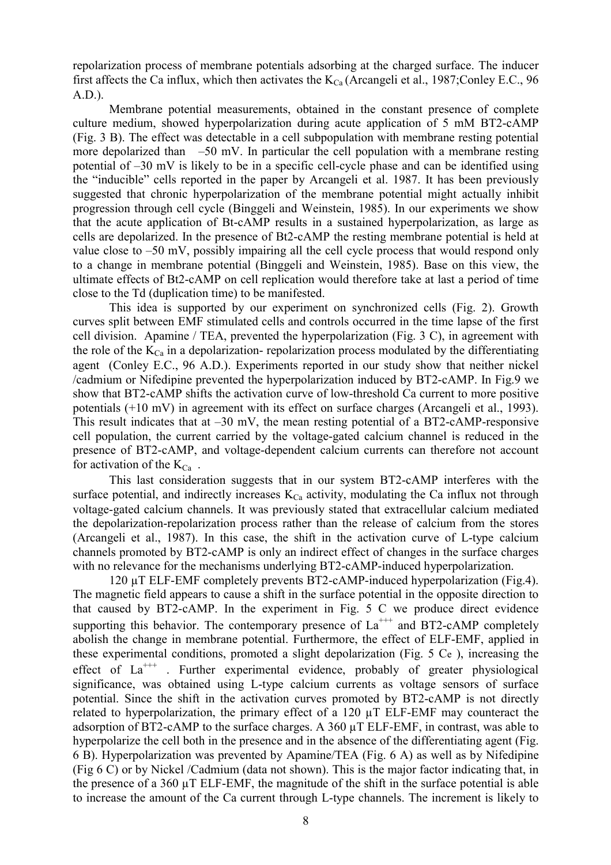repolarization process of membrane potentials adsorbing at the charged surface. The inducer first affects the Ca influx, which then activates the  $K_{Ca}$  (Arcangeli et al., 1987;Conley E.C., 96 A.D.).

Membrane potential measurements, obtained in the constant presence of complete culture medium, showed hyperpolarization during acute application of 5 mM BT2-cAMP (Fig. 3 B). The effect was detectable in a cell subpopulation with membrane resting potential more depolarized than  $-50$  mV. In particular the cell population with a membrane resting potential of –30 mV is likely to be in a specific cell-cycle phase and can be identified using the "inducible" cells reported in the paper by Arcangeli et al. 1987. It has been previously suggested that chronic hyperpolarization of the membrane potential might actually inhibit progression through cell cycle (Binggeli and Weinstein, 1985). In our experiments we show that the acute application of Bt-cAMP results in a sustained hyperpolarization, as large as cells are depolarized. In the presence of Bt2-cAMP the resting membrane potential is held at value close to –50 mV, possibly impairing all the cell cycle process that would respond only to a change in membrane potential (Binggeli and Weinstein, 1985). Base on this view, the ultimate effects of Bt2-cAMP on cell replication would therefore take at last a period of time close to the Td (duplication time) to be manifested.

This idea is supported by our experiment on synchronized cells (Fig. 2). Growth curves split between EMF stimulated cells and controls occurred in the time lapse of the first cell division. Apamine / TEA, prevented the hyperpolarization (Fig. 3 C), in agreement with the role of the  $K_{C_a}$  in a depolarization- repolarization process modulated by the differentiating agent (Conley E.C., 96 A.D.). Experiments reported in our study show that neither nickel /cadmium or Nifedipine prevented the hyperpolarization induced by BT2-cAMP. In Fig.9 we show that BT2-cAMP shifts the activation curve of low-threshold Ca current to more positive potentials (+10 mV) in agreement with its effect on surface charges (Arcangeli et al., 1993). This result indicates that at  $-30$  mV, the mean resting potential of a BT2-cAMP-responsive cell population, the current carried by the voltage-gated calcium channel is reduced in the presence of BT2-cAMP, and voltage-dependent calcium currents can therefore not account for activation of the  $K_{Ca}$ .

This last consideration suggests that in our system BT2-cAMP interferes with the surface potential, and indirectly increases  $K_{Ca}$  activity, modulating the Ca influx not through voltage-gated calcium channels. It was previously stated that extracellular calcium mediated the depolarization-repolarization process rather than the release of calcium from the stores (Arcangeli et al., 1987). In this case, the shift in the activation curve of L-type calcium channels promoted by BT2-cAMP is only an indirect effect of changes in the surface charges with no relevance for the mechanisms underlying BT2-cAMP-induced hyperpolarization.

120 µT ELF-EMF completely prevents BT2-cAMP-induced hyperpolarization (Fig.4). The magnetic field appears to cause a shift in the surface potential in the opposite direction to that caused by BT2-cAMP. In the experiment in Fig. 5 C we produce direct evidence supporting this behavior. The contemporary presence of  $La^{++}$  and BT2-cAMP completely abolish the change in membrane potential. Furthermore, the effect of ELF-EMF, applied in these experimental conditions, promoted a slight depolarization (Fig. 5 Ce ), increasing the effect of  $La^{+++}$ . Further experimental evidence, probably of greater physiological significance, was obtained using L-type calcium currents as voltage sensors of surface potential. Since the shift in the activation curves promoted by BT2-cAMP is not directly related to hyperpolarization, the primary effect of a 120 µT ELF-EMF may counteract the adsorption of BT2-cAMP to the surface charges. A 360 µT ELF-EMF, in contrast, was able to hyperpolarize the cell both in the presence and in the absence of the differentiating agent (Fig. 6 B). Hyperpolarization was prevented by Apamine/TEA (Fig. 6 A) as well as by Nifedipine (Fig 6 C) or by Nickel /Cadmium (data not shown). This is the major factor indicating that, in the presence of a 360 µT ELF-EMF, the magnitude of the shift in the surface potential is able to increase the amount of the Ca current through L-type channels. The increment is likely to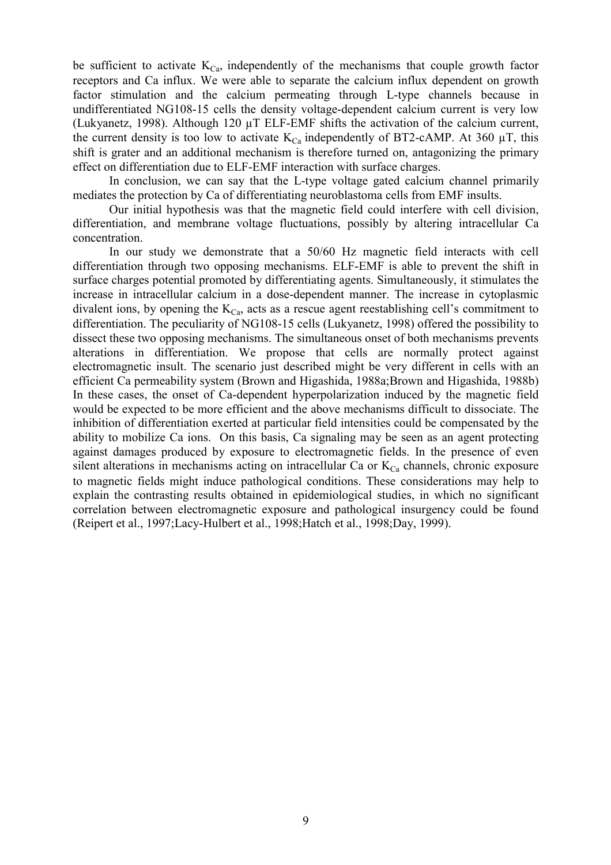be sufficient to activate  $K_{Ca}$ , independently of the mechanisms that couple growth factor receptors and Ca influx. We were able to separate the calcium influx dependent on growth factor stimulation and the calcium permeating through L-type channels because in undifferentiated NG108-15 cells the density voltage-dependent calcium current is very low (Lukyanetz, 1998). Although 120 µT ELF-EMF shifts the activation of the calcium current, the current density is too low to activate  $K_{Ca}$  independently of BT2-cAMP. At 360  $\mu$ T, this shift is grater and an additional mechanism is therefore turned on, antagonizing the primary effect on differentiation due to ELF-EMF interaction with surface charges.

In conclusion, we can say that the L-type voltage gated calcium channel primarily mediates the protection by Ca of differentiating neuroblastoma cells from EMF insults.

Our initial hypothesis was that the magnetic field could interfere with cell division, differentiation, and membrane voltage fluctuations, possibly by altering intracellular Ca concentration.

In our study we demonstrate that a 50/60 Hz magnetic field interacts with cell differentiation through two opposing mechanisms. ELF-EMF is able to prevent the shift in surface charges potential promoted by differentiating agents. Simultaneously, it stimulates the increase in intracellular calcium in a dose-dependent manner. The increase in cytoplasmic divalent ions, by opening the  $K_{Ca}$ , acts as a rescue agent reestablishing cell's commitment to differentiation. The peculiarity of NG108-15 cells (Lukyanetz, 1998) offered the possibility to dissect these two opposing mechanisms. The simultaneous onset of both mechanisms prevents alterations in differentiation. We propose that cells are normally protect against electromagnetic insult. The scenario just described might be very different in cells with an efficient Ca permeability system (Brown and Higashida, 1988a;Brown and Higashida, 1988b) In these cases, the onset of Ca-dependent hyperpolarization induced by the magnetic field would be expected to be more efficient and the above mechanisms difficult to dissociate. The inhibition of differentiation exerted at particular field intensities could be compensated by the ability to mobilize Ca ions. On this basis, Ca signaling may be seen as an agent protecting against damages produced by exposure to electromagnetic fields. In the presence of even silent alterations in mechanisms acting on intracellular Ca or  $K_{\text{Ca}}$  channels, chronic exposure to magnetic fields might induce pathological conditions. These considerations may help to explain the contrasting results obtained in epidemiological studies, in which no significant correlation between electromagnetic exposure and pathological insurgency could be found (Reipert et al., 1997;Lacy-Hulbert et al., 1998;Hatch et al., 1998;Day, 1999).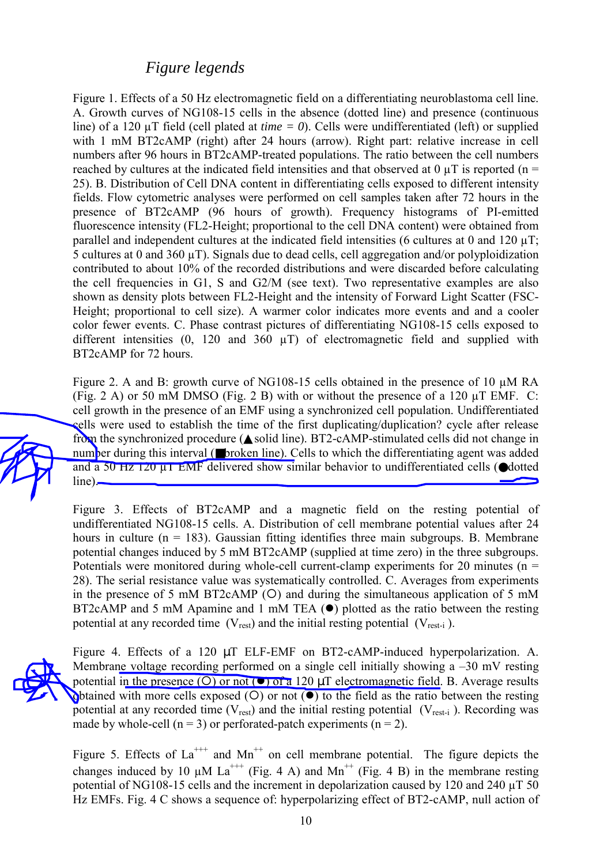### *Figure legends*

Figure 1. Effects of a 50 Hz electromagnetic field on a differentiating neuroblastoma cell line. A. Growth curves of NG108-15 cells in the absence (dotted line) and presence (continuous line) of a 120 µT field (cell plated at *time = 0*). Cells were undifferentiated (left) or supplied with 1 mM BT2cAMP (right) after 24 hours (arrow). Right part: relative increase in cell numbers after 96 hours in BT2cAMP-treated populations. The ratio between the cell numbers reached by cultures at the indicated field intensities and that observed at 0  $\mu$ T is reported (n = 25). B. Distribution of Cell DNA content in differentiating cells exposed to different intensity fields. Flow cytometric analyses were performed on cell samples taken after 72 hours in the presence of BT2cAMP (96 hours of growth). Frequency histograms of PI-emitted fluorescence intensity (FL2-Height; proportional to the cell DNA content) were obtained from parallel and independent cultures at the indicated field intensities (6 cultures at 0 and 120  $\mu$ T; 5 cultures at 0 and 360 µT). Signals due to dead cells, cell aggregation and/or polyploidization contributed to about 10% of the recorded distributions and were discarded before calculating the cell frequencies in G1, S and G2/M (see text). Two representative examples are also shown as density plots between FL2-Height and the intensity of Forward Light Scatter (FSC-Height; proportional to cell size). A warmer color indicates more events and and a cooler color fewer events. C. Phase contrast pictures of differentiating NG108-15 cells exposed to different intensities  $(0, 120 \text{ and } 360 \text{ µ})$  of electromagnetic field and supplied with BT2cAMP for 72 hours.

Figure 2. A and B: growth curve of NG108-15 cells obtained in the presence of 10  $\mu$ M RA (Fig. 2 A) or 50 mM DMSO (Fig. 2 B) with or without the presence of a 120 µT EMF. C: cell growth in the presence of an EMF using a synchronized cell population. Undifferentiated cells were used to establish the time of the first duplicating/duplication? cycle after release from the synchronized procedure (▲solid line). BT2-cAMP-stimulated cells did not change in number during this interval (■broken line). Cells to which the differentiating agent was added and a 50 Hz  $\frac{120 \text{ }\mu\text{T}}{20 \text{ }\mu\text{T}}$  EMF delivered show similar behavior to undifferentiated cells ( $\bullet$ dotted line).

Figure 3. Effects of BT2cAMP and a magnetic field on the resting potential of undifferentiated NG108-15 cells. A. Distribution of cell membrane potential values after 24 hours in culture  $(n = 183)$ . Gaussian fitting identifies three main subgroups. B. Membrane potential changes induced by 5 mM BT2cAMP (supplied at time zero) in the three subgroups. Potentials were monitored during whole-cell current-clamp experiments for 20 minutes ( $n =$ 28). The serial resistance value was systematically controlled. C. Averages from experiments in the presence of 5 mM BT2cAMP  $(O)$  and during the simultaneous application of 5 mM BT2cAMP and 5 mM Apamine and 1 mM TEA  $(\bullet)$  plotted as the ratio between the resting potential at any recorded time  $(V_{rest})$  and the initial resting potential  $(V_{rest-i})$ .

Figure 4. Effects of a 120 µT ELF-EMF on BT2-cAMP-induced hyperpolarization. A. Membrane voltage recording performed on a single cell initially showing a –30 mV resting potential in the presence (O) or not ( $\bullet$ ) of a 120  $\mu$ T electromagnetic field. B. Average results obtained with more cells exposed  $(O)$  or not  $(O)$  to the field as the ratio between the resting potential at any recorded time  $(V_{rest})$  and the initial resting potential  $(V_{rest-i})$ . Recording was made by whole-cell ( $n = 3$ ) or perforated-patch experiments ( $n = 2$ ).

Figure 5. Effects of  $La^{++}$  and  $Mn^{++}$  on cell membrane potential. The figure depicts the changes induced by 10  $\mu$ M La<sup>+++</sup> (Fig. 4 A) and Mn<sup>++</sup> (Fig. 4 B) in the membrane resting potential of NG108-15 cells and the increment in depolarization caused by 120 and 240 uT 50 Hz EMFs. Fig. 4 C shows a sequence of: hyperpolarizing effect of BT2-cAMP, null action of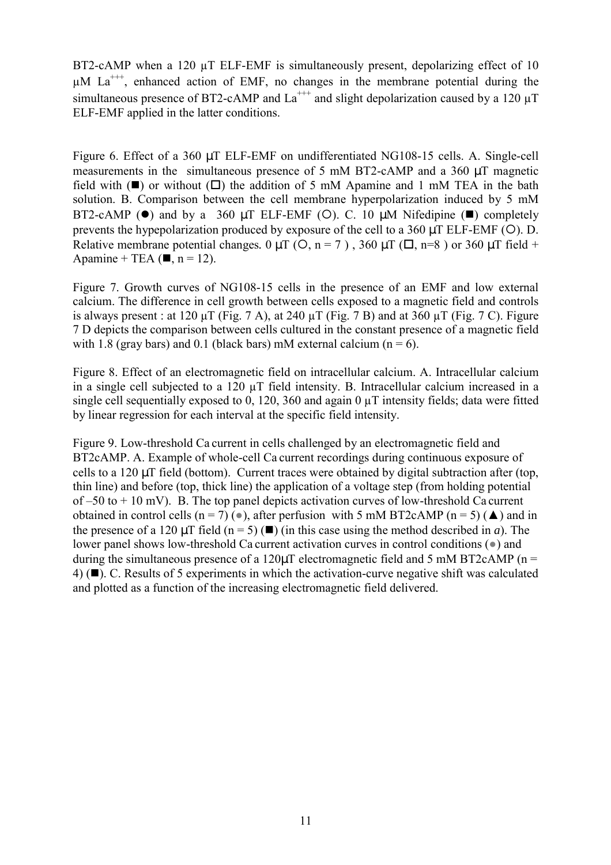BT2-cAMP when a 120  $\mu$ T ELF-EMF is simultaneously present, depolarizing effect of 10  $\mu$ M La<sup>+++</sup>, enhanced action of EMF, no changes in the membrane potential during the simultaneous presence of BT2-cAMP and  $La^{++}$  and slight depolarization caused by a 120  $\mu$ T ELF-EMF applied in the latter conditions.

Figure 6. Effect of a 360 µT ELF-EMF on undifferentiated NG108-15 cells. A. Single-cell measurements in the simultaneous presence of 5 mM BT2-cAMP and a 360 µT magnetic field with  $(\blacksquare)$  or without  $(\square)$  the addition of 5 mM Apamine and 1 mM TEA in the bath solution. B. Comparison between the cell membrane hyperpolarization induced by 5 mM BT2-cAMP ( $\bullet$ ) and by a 360 µT ELF-EMF (O). C. 10 µM Nifedipine ( $\blacksquare$ ) completely prevents the hypepolarization produced by exposure of the cell to a  $360 \mu T$  ELF-EMF (O). D. Relative membrane potential changes.  $0 \mu T$  ( $O$ ,  $n = 7$ ), 360  $\mu T$  ( $\Box$ , n=8) or 360  $\mu T$  field + Apamine + TEA ( $\blacksquare$ , n = 12).

Figure 7. Growth curves of NG108-15 cells in the presence of an EMF and low external calcium. The difference in cell growth between cells exposed to a magnetic field and controls is always present : at  $120 \mu T$  (Fig. 7 A), at  $240 \mu T$  (Fig. 7 B) and at  $360 \mu T$  (Fig. 7 C). Figure 7 D depicts the comparison between cells cultured in the constant presence of a magnetic field with 1.8 (gray bars) and 0.1 (black bars) mM external calcium ( $n = 6$ ).

Figure 8. Effect of an electromagnetic field on intracellular calcium. A. Intracellular calcium in a single cell subjected to a 120 µT field intensity. B. Intracellular calcium increased in a single cell sequentially exposed to 0, 120, 360 and again 0  $\mu$ T intensity fields; data were fitted by linear regression for each interval at the specific field intensity.

Figure 9. Low-threshold Ca current in cells challenged by an electromagnetic field and BT2cAMP. A. Example of whole-cell Ca current recordings during continuous exposure of cells to a 120 µT field (bottom). Current traces were obtained by digital subtraction after (top, thin line) and before (top, thick line) the application of a voltage step (from holding potential of  $-50$  to  $+10$  mV). B. The top panel depicts activation curves of low-threshold Ca current obtained in control cells (n = 7) ( $\bullet$ ), after perfusion with 5 mM BT2cAMP (n = 5) ( $\blacktriangle$ ) and in the presence of a 120  $\mu$ T field (n = 5) ( $\blacksquare$ ) (in this case using the method described in *a*). The lower panel shows low-threshold Ca current activation curves in control conditions (●) and during the simultaneous presence of a 120 $\mu$ T electromagnetic field and 5 mM BT2cAMP (n = 4) (#). C. Results of 5 experiments in which the activation-curve negative shift was calculated and plotted as a function of the increasing electromagnetic field delivered.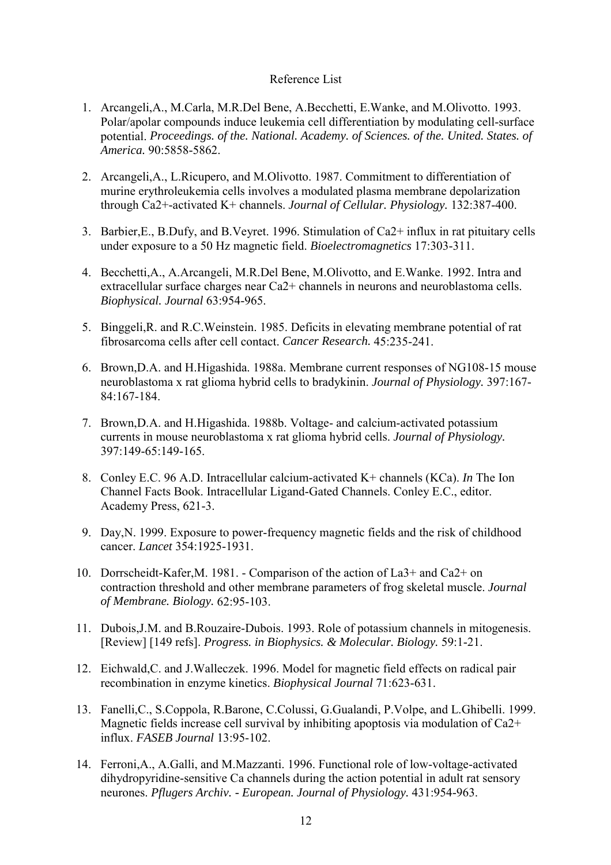#### Reference List

- 1. Arcangeli,A., M.Carla, M.R.Del Bene, A.Becchetti, E.Wanke, and M.Olivotto. 1993. Polar/apolar compounds induce leukemia cell differentiation by modulating cell-surface potential. *Proceedings. of the. National. Academy. of Sciences. of the. United. States. of America.* 90:5858-5862.
- 2. Arcangeli,A., L.Ricupero, and M.Olivotto. 1987. Commitment to differentiation of murine erythroleukemia cells involves a modulated plasma membrane depolarization through Ca2+-activated K+ channels. *Journal of Cellular. Physiology.* 132:387-400.
- 3. Barbier,E., B.Dufy, and B.Veyret. 1996. Stimulation of Ca2+ influx in rat pituitary cells under exposure to a 50 Hz magnetic field. *Bioelectromagnetics* 17:303-311.
- 4. Becchetti,A., A.Arcangeli, M.R.Del Bene, M.Olivotto, and E.Wanke. 1992. Intra and extracellular surface charges near Ca2+ channels in neurons and neuroblastoma cells. *Biophysical. Journal* 63:954-965.
- 5. Binggeli,R. and R.C.Weinstein. 1985. Deficits in elevating membrane potential of rat fibrosarcoma cells after cell contact. *Cancer Research.* 45:235-241.
- 6. Brown,D.A. and H.Higashida. 1988a. Membrane current responses of NG108-15 mouse neuroblastoma x rat glioma hybrid cells to bradykinin. *Journal of Physiology.* 397:167- 84:167-184.
- 7. Brown,D.A. and H.Higashida. 1988b. Voltage- and calcium-activated potassium currents in mouse neuroblastoma x rat glioma hybrid cells. *Journal of Physiology.* 397:149-65:149-165.
- 8. Conley E.C. 96 A.D. Intracellular calcium-activated K+ channels (KCa). *In* The Ion Channel Facts Book. Intracellular Ligand-Gated Channels. Conley E.C., editor. Academy Press, 621-3.
- 9. Day,N. 1999. Exposure to power-frequency magnetic fields and the risk of childhood cancer. *Lancet* 354:1925-1931.
- 10. Dorrscheidt-Kafer,M. 1981. Comparison of the action of La3+ and Ca2+ on contraction threshold and other membrane parameters of frog skeletal muscle. *Journal of Membrane. Biology.* 62:95-103.
- 11. Dubois,J.M. and B.Rouzaire-Dubois. 1993. Role of potassium channels in mitogenesis. [Review] [149 refs]. *Progress. in Biophysics. & Molecular. Biology.* 59:1-21.
- 12. Eichwald,C. and J.Walleczek. 1996. Model for magnetic field effects on radical pair recombination in enzyme kinetics. *Biophysical Journal* 71:623-631.
- 13. Fanelli,C., S.Coppola, R.Barone, C.Colussi, G.Gualandi, P.Volpe, and L.Ghibelli. 1999. Magnetic fields increase cell survival by inhibiting apoptosis via modulation of Ca2+ influx. *FASEB Journal* 13:95-102.
- 14. Ferroni,A., A.Galli, and M.Mazzanti. 1996. Functional role of low-voltage-activated dihydropyridine-sensitive Ca channels during the action potential in adult rat sensory neurones. *Pflugers Archiv. - European. Journal of Physiology.* 431:954-963.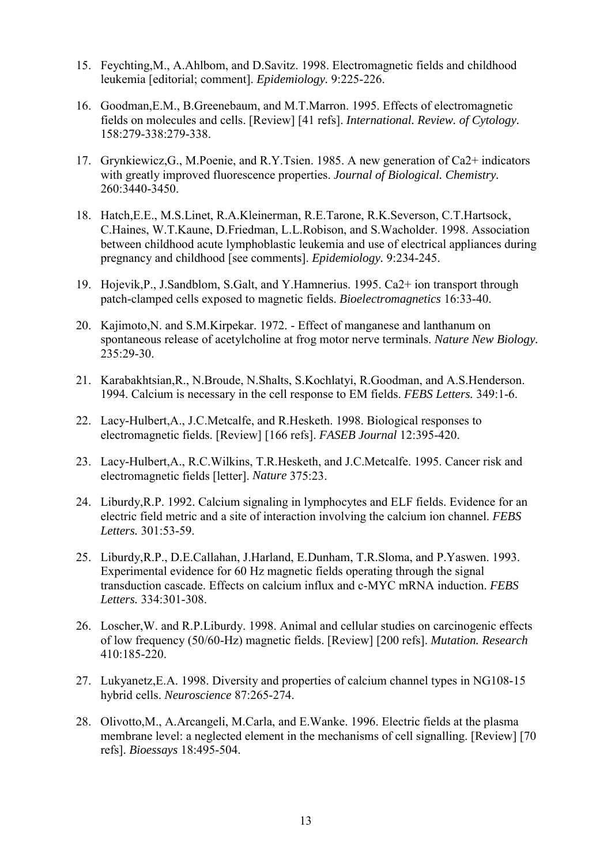- 15. Feychting,M., A.Ahlbom, and D.Savitz. 1998. Electromagnetic fields and childhood leukemia [editorial; comment]. *Epidemiology.* 9:225-226.
- 16. Goodman,E.M., B.Greenebaum, and M.T.Marron. 1995. Effects of electromagnetic fields on molecules and cells. [Review] [41 refs]. *International. Review. of Cytology.* 158:279-338:279-338.
- 17. Grynkiewicz,G., M.Poenie, and R.Y.Tsien. 1985. A new generation of Ca2+ indicators with greatly improved fluorescence properties. *Journal of Biological. Chemistry.* 260:3440-3450.
- 18. Hatch,E.E., M.S.Linet, R.A.Kleinerman, R.E.Tarone, R.K.Severson, C.T.Hartsock, C.Haines, W.T.Kaune, D.Friedman, L.L.Robison, and S.Wacholder. 1998. Association between childhood acute lymphoblastic leukemia and use of electrical appliances during pregnancy and childhood [see comments]. *Epidemiology.* 9:234-245.
- 19. Hojevik,P., J.Sandblom, S.Galt, and Y.Hamnerius. 1995. Ca2+ ion transport through patch-clamped cells exposed to magnetic fields. *Bioelectromagnetics* 16:33-40.
- 20. Kajimoto,N. and S.M.Kirpekar. 1972. Effect of manganese and lanthanum on spontaneous release of acetylcholine at frog motor nerve terminals. *Nature New Biology.* 235:29-30.
- 21. Karabakhtsian,R., N.Broude, N.Shalts, S.Kochlatyi, R.Goodman, and A.S.Henderson. 1994. Calcium is necessary in the cell response to EM fields. *FEBS Letters.* 349:1-6.
- 22. Lacy-Hulbert,A., J.C.Metcalfe, and R.Hesketh. 1998. Biological responses to electromagnetic fields. [Review] [166 refs]. *FASEB Journal* 12:395-420.
- 23. Lacy-Hulbert,A., R.C.Wilkins, T.R.Hesketh, and J.C.Metcalfe. 1995. Cancer risk and electromagnetic fields [letter]. *Nature* 375:23.
- 24. Liburdy,R.P. 1992. Calcium signaling in lymphocytes and ELF fields. Evidence for an electric field metric and a site of interaction involving the calcium ion channel. *FEBS Letters.* 301:53-59.
- 25. Liburdy,R.P., D.E.Callahan, J.Harland, E.Dunham, T.R.Sloma, and P.Yaswen. 1993. Experimental evidence for 60 Hz magnetic fields operating through the signal transduction cascade. Effects on calcium influx and c-MYC mRNA induction. *FEBS Letters.* 334:301-308.
- 26. Loscher,W. and R.P.Liburdy. 1998. Animal and cellular studies on carcinogenic effects of low frequency (50/60-Hz) magnetic fields. [Review] [200 refs]. *Mutation. Research* 410:185-220.
- 27. Lukyanetz,E.A. 1998. Diversity and properties of calcium channel types in NG108-15 hybrid cells. *Neuroscience* 87:265-274.
- 28. Olivotto,M., A.Arcangeli, M.Carla, and E.Wanke. 1996. Electric fields at the plasma membrane level: a neglected element in the mechanisms of cell signalling. [Review] [70 refs]. *Bioessays* 18:495-504.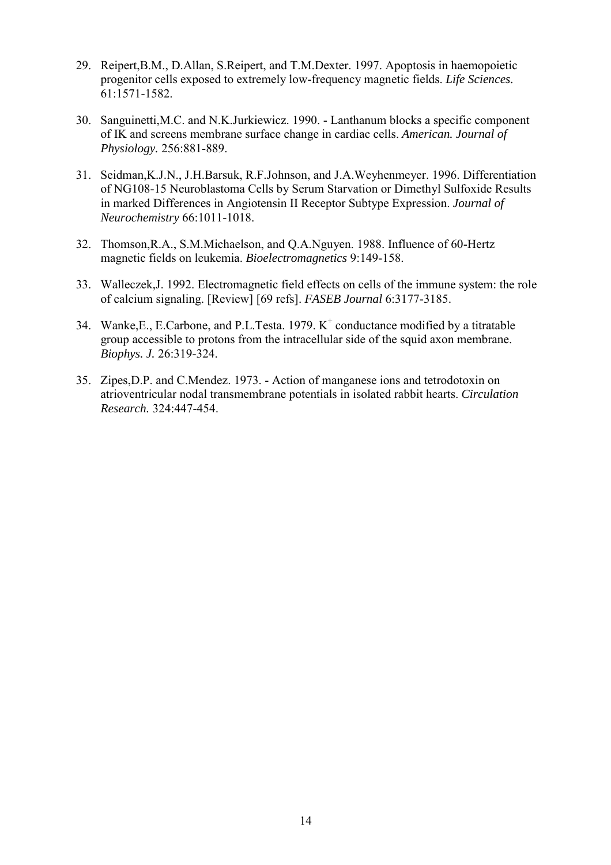- 29. Reipert,B.M., D.Allan, S.Reipert, and T.M.Dexter. 1997. Apoptosis in haemopoietic progenitor cells exposed to extremely low-frequency magnetic fields. *Life Sciences.* 61:1571-1582.
- 30. Sanguinetti,M.C. and N.K.Jurkiewicz. 1990. Lanthanum blocks a specific component of IK and screens membrane surface change in cardiac cells. *American. Journal of Physiology.* 256:881-889.
- 31. Seidman,K.J.N., J.H.Barsuk, R.F.Johnson, and J.A.Weyhenmeyer. 1996. Differentiation of NG108-15 Neuroblastoma Cells by Serum Starvation or Dimethyl Sulfoxide Results in marked Differences in Angiotensin II Receptor Subtype Expression. *Journal of Neurochemistry* 66:1011-1018.
- 32. Thomson,R.A., S.M.Michaelson, and Q.A.Nguyen. 1988. Influence of 60-Hertz magnetic fields on leukemia. *Bioelectromagnetics* 9:149-158.
- 33. Walleczek,J. 1992. Electromagnetic field effects on cells of the immune system: the role of calcium signaling. [Review] [69 refs]. *FASEB Journal* 6:3177-3185.
- 34. Wanke, E., E.Carbone, and P.L.Testa. 1979.  $K^+$  conductance modified by a titratable group accessible to protons from the intracellular side of the squid axon membrane. *Biophys. J.* 26:319-324.
- 35. Zipes,D.P. and C.Mendez. 1973. Action of manganese ions and tetrodotoxin on atrioventricular nodal transmembrane potentials in isolated rabbit hearts. *Circulation Research.* 324:447-454.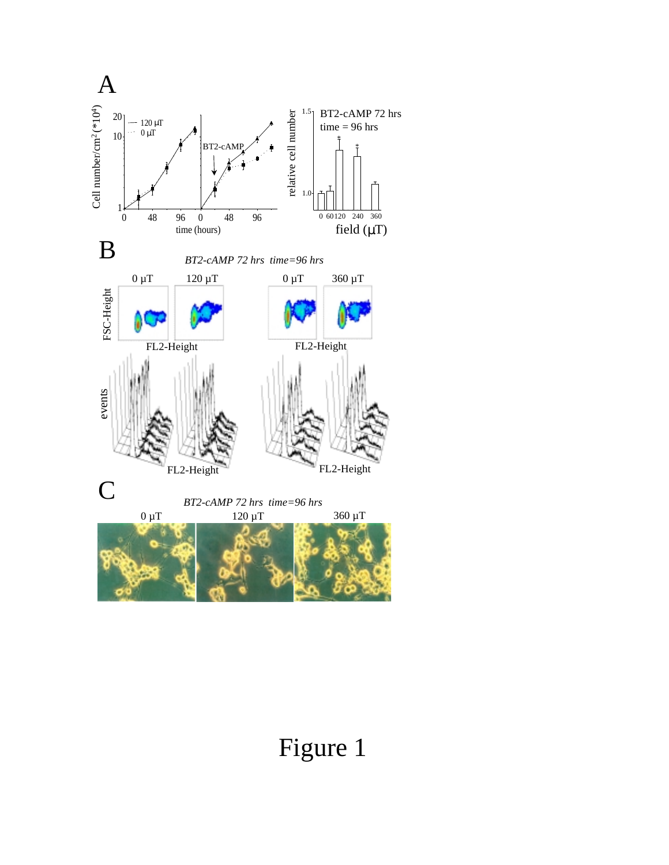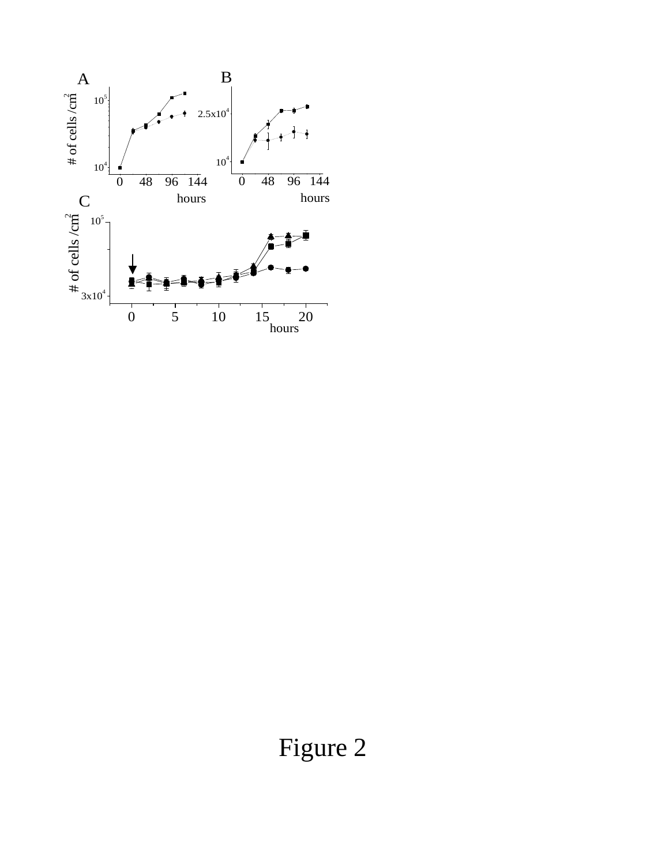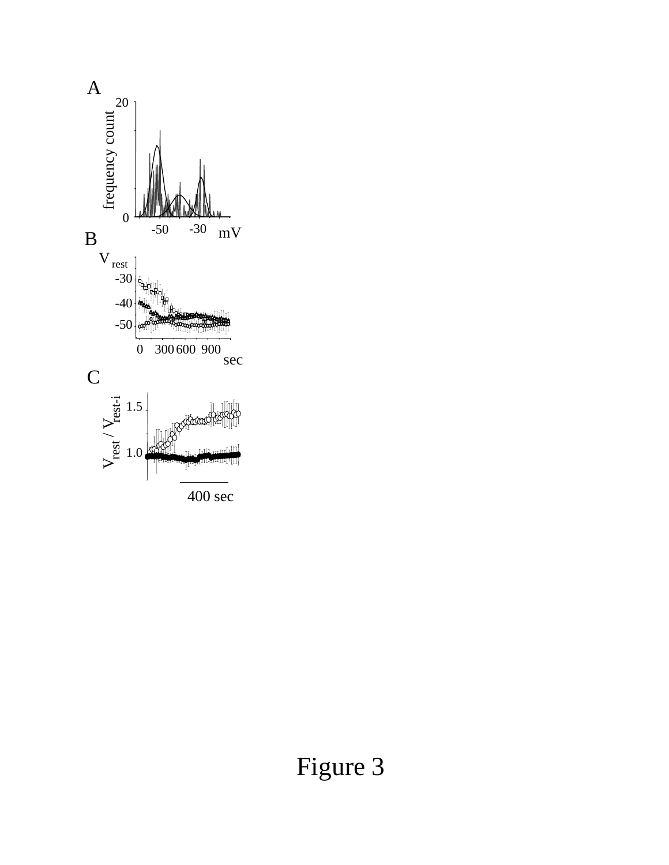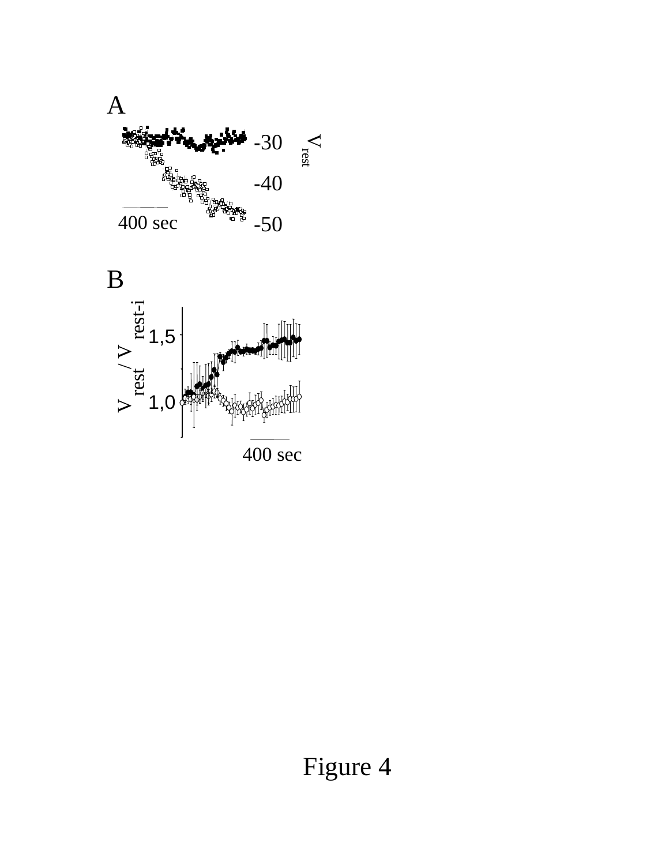

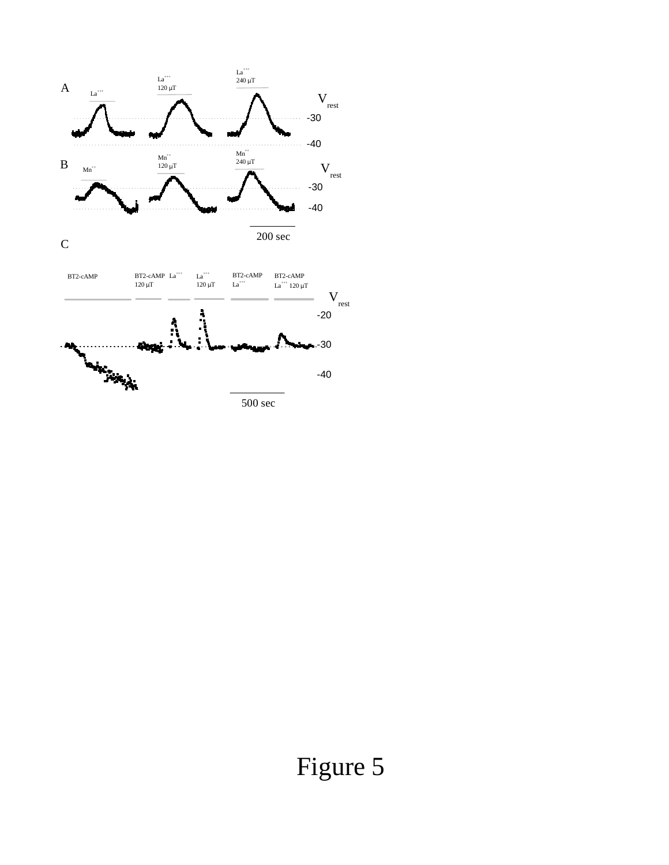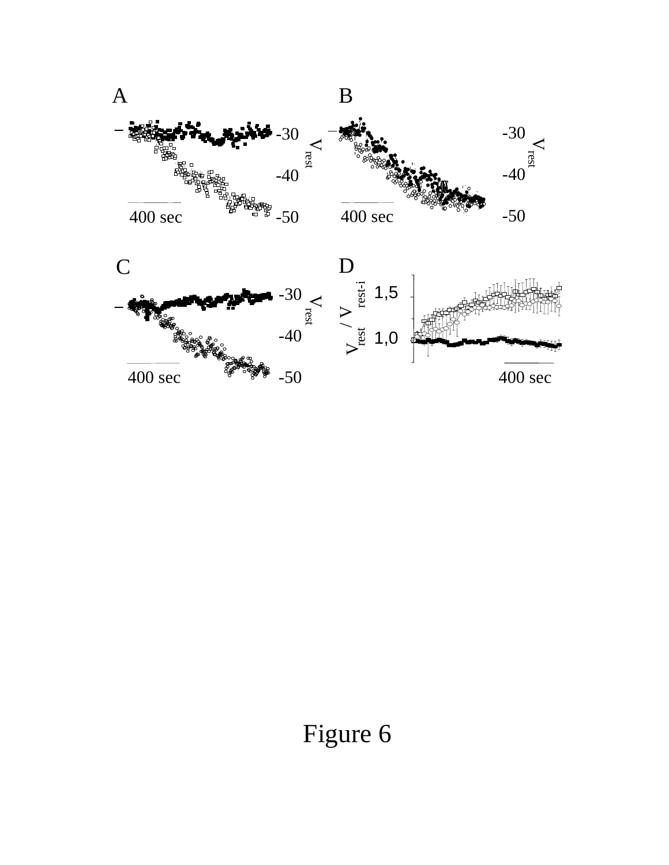

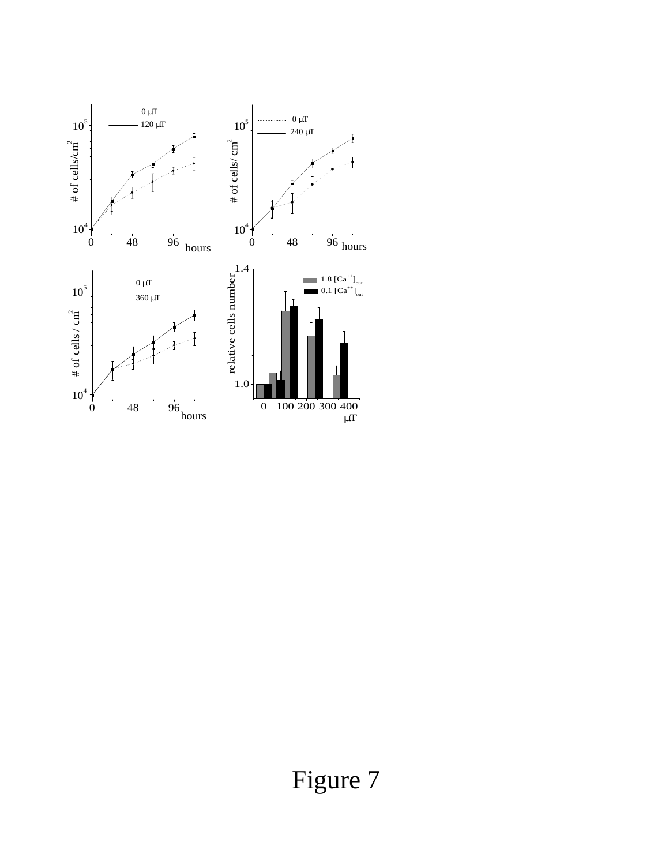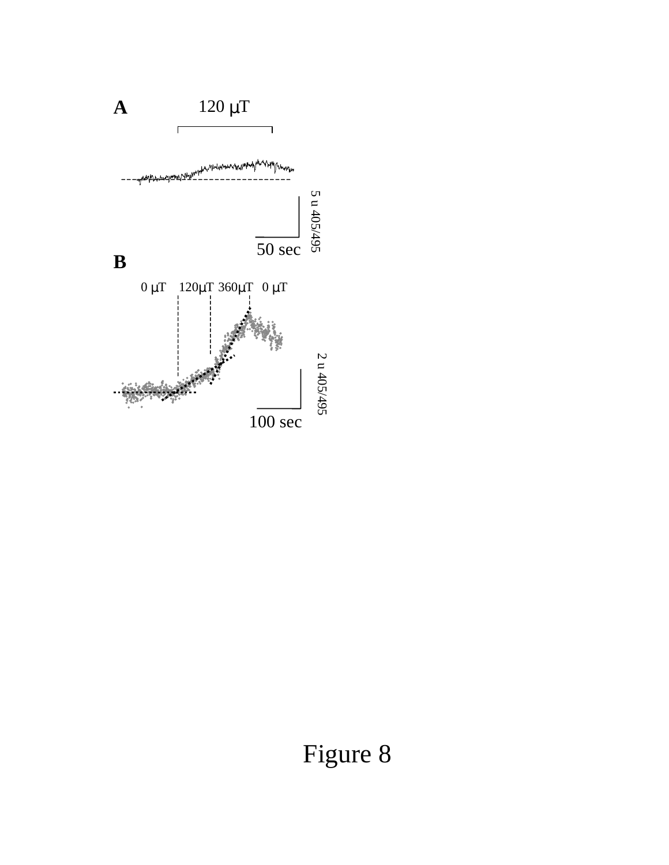